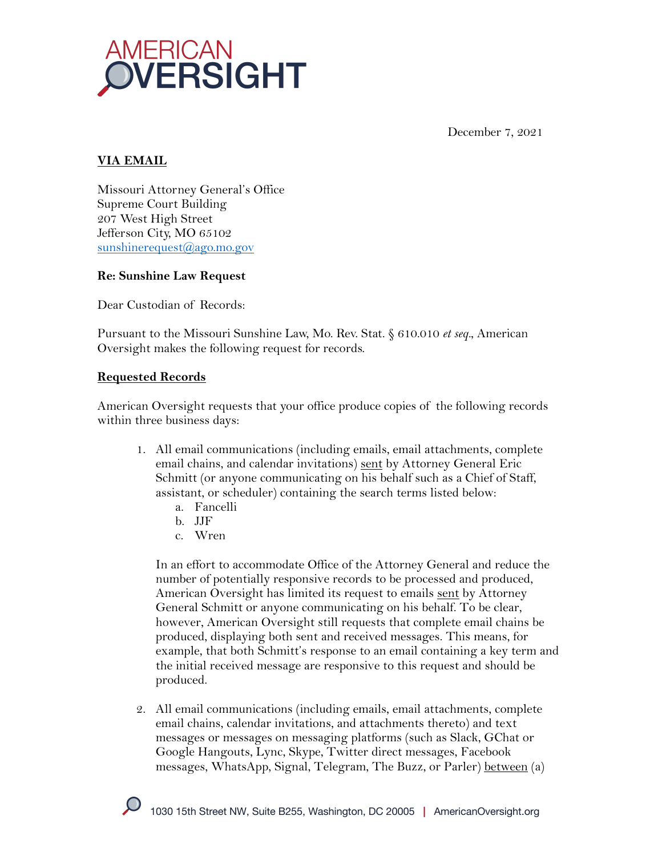

December 7, 2021

# **VIA EMAIL**

Missouri Attorney General's Office Supreme Court Building 207 West High Street Jefferson City, MO 65102 sunshinerequest@ago.mo.gov

#### **Re: Sunshine Law Request**

Dear Custodian of Records:

Pursuant to the Missouri Sunshine Law, Mo. Rev. Stat. § 610.010 *et seq.*, American Oversight makes the following request for records.

#### **Requested Records**

American Oversight requests that your office produce copies of the following records within three business days:

- 1. All email communications (including emails, email attachments, complete email chains, and calendar invitations) sent by Attorney General Eric Schmitt (or anyone communicating on his behalf such as a Chief of Staff, assistant, or scheduler) containing the search terms listed below:
	- a. Fancelli
	- b. JJF
	- c. Wren

In an effort to accommodate Office of the Attorney General and reduce the number of potentially responsive records to be processed and produced, American Oversight has limited its request to emails sent by Attorney General Schmitt or anyone communicating on his behalf. To be clear, however, American Oversight still requests that complete email chains be produced, displaying both sent and received messages. This means, for example, that both Schmitt's response to an email containing a key term and the initial received message are responsive to this request and should be produced.

2. All email communications (including emails, email attachments, complete email chains, calendar invitations, and attachments thereto) and text messages or messages on messaging platforms (such as Slack, GChat or Google Hangouts, Lync, Skype, Twitter direct messages, Facebook messages, WhatsApp, Signal, Telegram, The Buzz, or Parler) between (a)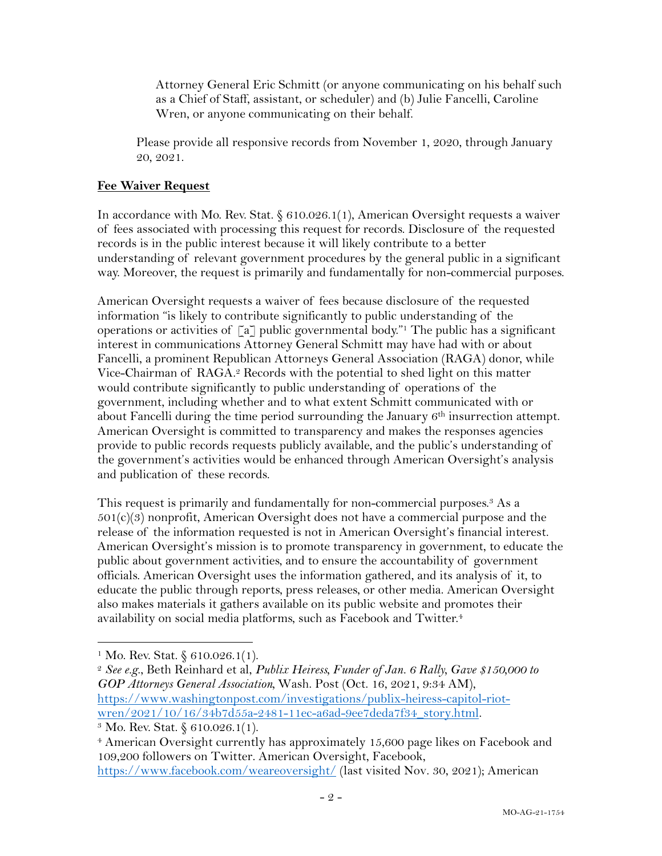Attorney General Eric Schmitt (or anyone communicating on his behalf such as a Chief of Staff, assistant, or scheduler) and (b) Julie Fancelli, Caroline Wren, or anyone communicating on their behalf.

Please provide all responsive records from November 1, 2020, through January 20, 2021.

# **Fee Waiver Request**

In accordance with Mo. Rev. Stat. § 610.026.1(1), American Oversight requests a waiver of fees associated with processing this request for records. Disclosure of the requested records is in the public interest because it will likely contribute to a better understanding of relevant government procedures by the general public in a significant way. Moreover, the request is primarily and fundamentally for non-commercial purposes.

American Oversight requests a waiver of fees because disclosure of the requested information "is likely to contribute significantly to public understanding of the operations or activities of  $\lceil a \rceil$  public governmental body."<sup>1</sup> The public has a significant interest in communications Attorney General Schmitt may have had with or about Fancelli, a prominent Republican Attorneys General Association (RAGA) donor, while Vice-Chairman of RAGA. <sup>2</sup> Records with the potential to shed light on this matter would contribute significantly to public understanding of operations of the government, including whether and to what extent Schmitt communicated with or about Fancelli during the time period surrounding the January  $6<sup>th</sup>$  insurrection attempt. American Oversight is committed to transparency and makes the responses agencies provide to public records requests publicly available, and the public's understanding of the government's activities would be enhanced through American Oversight's analysis and publication of these records.

This request is primarily and fundamentally for non-commercial purposes.<sup>3</sup> As a  $501(c)(3)$  nonprofit, American Oversight does not have a commercial purpose and the release of the information requested is not in American Oversight's financial interest. American Oversight's mission is to promote transparency in government, to educate the public about government activities, and to ensure the accountability of government officials. American Oversight uses the information gathered, and its analysis of it, to educate the public through reports, press releases, or other media. American Oversight also makes materials it gathers available on its public website and promotes their availability on social media platforms, such as Facebook and Twitter.4

<sup>&</sup>lt;sup>1</sup> Mo. Rev. Stat. § 610.026.1(1).

<sup>2</sup> *See e.g*., Beth Reinhard et al, *Publix Heiress, Funder of Jan. 6 Rally, Gave \$150,000 to GOP Attorneys General Association,* Wash. Post (Oct. 16, 2021, 9:34 AM), https://www.washingtonpost.com/investigations/publix-heiress-capitol-riotwren/2021/10/16/34b7d55a-2481-11ec-a6ad-9ee7deda7f34\_story.html.<br><sup>3</sup> Mo. Rev. Stat. § 610.026.1(1).

<sup>4</sup> American Oversight currently has approximately 15,600 page likes on Facebook and 109,200 followers on Twitter. American Oversight, Facebook, https://www.facebook.com/weareoversight/ (last visited Nov. 30, 2021); American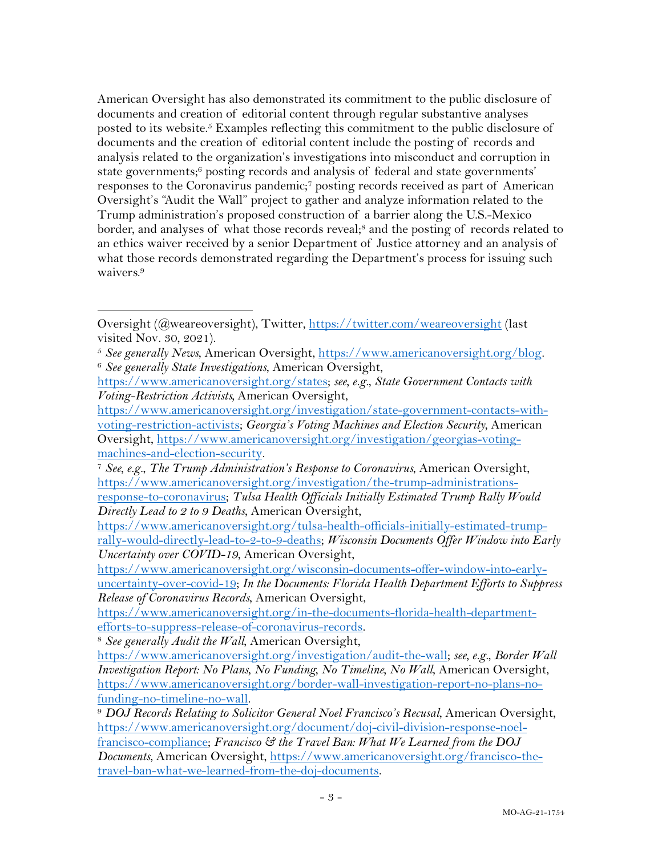American Oversight has also demonstrated its commitment to the public disclosure of documents and creation of editorial content through regular substantive analyses posted to its website. <sup>5</sup> Examples reflecting this commitment to the public disclosure of documents and the creation of editorial content include the posting of records and analysis related to the organization's investigations into misconduct and corruption in state governments; <sup>6</sup> posting records and analysis of federal and state governments' responses to the Coronavirus pandemic;7 posting records received as part of American Oversight's "Audit the Wall" project to gather and analyze information related to the Trump administration's proposed construction of a barrier along the U.S.-Mexico border, and analyses of what those records reveal;<sup>8</sup> and the posting of records related to an ethics waiver received by a senior Department of Justice attorney and an analysis of what those records demonstrated regarding the Department's process for issuing such waivers.<sup>9</sup>

<sup>8</sup> See generally Audit the Wall, American Oversight,

Oversight (@weareoversight), Twitter, https://twitter.com/weareoversight (last visited Nov. 30, 2021).

<sup>5</sup> *See generally News*, American Oversight, https://www.americanoversight.org/blog. 6 *See generally State Investigations*, American Oversight,

https://www.americanoversight.org/states; *see, e.g.*, *State Government Contacts with Voting-Restriction Activists,* American Oversight,

https://www.americanoversight.org/investigation/state-government-contacts-withvoting-restriction-activists; *Georgia's Voting Machines and Election Security*, American Oversight, https://www.americanoversight.org/investigation/georgias-voting-

machines-and-election-security. 7 *See, e.g.*, *The Trump Administration's Response to Coronavirus*, American Oversight, https://www.americanoversight.org/investigation/the-trump-administrations-

response-to-coronavirus; *Tulsa Health Officials Initially Estimated Trump Rally Would Directly Lead to 2 to 9 Deaths*, American Oversight,

https://www.americanoversight.org/tulsa-health-officials-initially-estimated-trumprally-would-directly-lead-to-2-to-9-deaths; *Wisconsin Documents Offer Window into Early Uncertainty over COVID-19*, American Oversight,

https://www.americanoversight.org/wisconsin-documents-offer-window-into-earlyuncertainty-over-covid-19; *In the Documents: Florida Health Department Efforts to Suppress Release of Coronavirus Records*, American Oversight,

https://www.americanoversight.org/in-the-documents-florida-health-department-

https://www.americanoversight.org/investigation/audit-the-wall; *see, e.g.*, *Border Wall Investigation Report: No Plans, No Funding, No Timeline, No Wall*, American Oversight, https://www.americanoversight.org/border-wall-investigation-report-no-plans-nofunding-no-timeline-no-wall. 9 *DOJ Records Relating to Solicitor General Noel Francisco's Recusal*, American Oversight,

https://www.americanoversight.org/document/doj-civil-division-response-noelfrancisco-compliance; *Francisco & the Travel Ban: What We Learned from the DOJ Documents*, American Oversight, https://www.americanoversight.org/francisco-thetravel-ban-what-we-learned-from-the-doj-documents.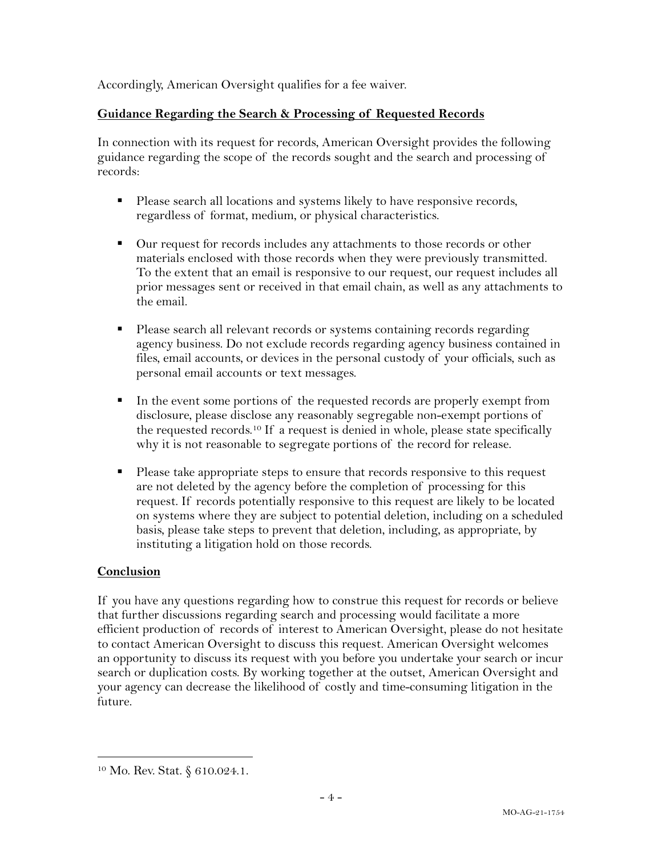Accordingly, American Oversight qualifies for a fee waiver.

## **Guidance Regarding the Search & Processing of Requested Records**

In connection with its request for records, American Oversight provides the following guidance regarding the scope of the records sought and the search and processing of records:

- Please search all locations and systems likely to have responsive records, regardless of format, medium, or physical characteristics.
- Our request for records includes any attachments to those records or other materials enclosed with those records when they were previously transmitted. To the extent that an email is responsive to our request, our request includes all prior messages sent or received in that email chain, as well as any attachments to the email.
- Please search all relevant records or systems containing records regarding agency business. Do not exclude records regarding agency business contained in files, email accounts, or devices in the personal custody of your officials, such as personal email accounts or text messages.
- In the event some portions of the requested records are properly exempt from disclosure, please disclose any reasonably segregable non-exempt portions of the requested records.10 If a request is denied in whole, please state specifically why it is not reasonable to segregate portions of the record for release.
- Please take appropriate steps to ensure that records responsive to this request are not deleted by the agency before the completion of processing for this request. If records potentially responsive to this request are likely to be located on systems where they are subject to potential deletion, including on a scheduled basis, please take steps to prevent that deletion, including, as appropriate, by instituting a litigation hold on those records.

## **Conclusion**

If you have any questions regarding how to construe this request for records or believe that further discussions regarding search and processing would facilitate a more efficient production of records of interest to American Oversight, please do not hesitate to contact American Oversight to discuss this request. American Oversight welcomes an opportunity to discuss its request with you before you undertake your search or incur search or duplication costs. By working together at the outset, American Oversight and your agency can decrease the likelihood of costly and time-consuming litigation in the future.

<sup>10</sup> Mo. Rev. Stat. § 610.024.1.